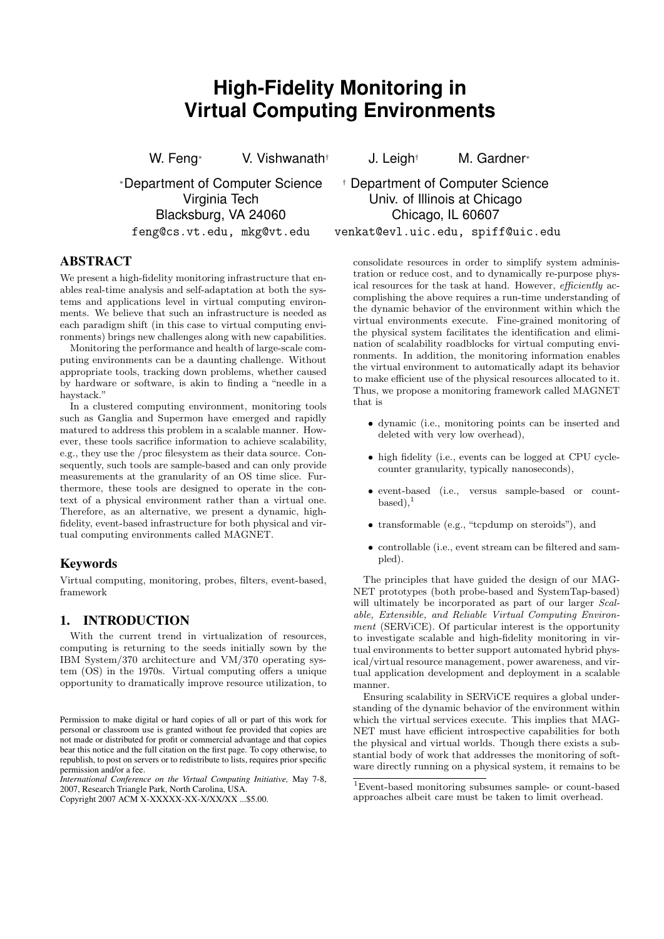# **High-Fidelity Monitoring in Virtual Computing Environments**

W. Feng<sup>∗</sup> V. Vishwanath<sup>†</sup> J. Leigh<sup>†</sup> M. Gardner<sup>∗</sup>

<sup>∗</sup>Department of Computer Science † Department of Computer Science Blacksburg, VA 24060 Chicago, IL 60607

# ABSTRACT

We present a high-fidelity monitoring infrastructure that enables real-time analysis and self-adaptation at both the systems and applications level in virtual computing environments. We believe that such an infrastructure is needed as each paradigm shift (in this case to virtual computing environments) brings new challenges along with new capabilities.

Monitoring the performance and health of large-scale computing environments can be a daunting challenge. Without appropriate tools, tracking down problems, whether caused by hardware or software, is akin to finding a "needle in a haystack."

In a clustered computing environment, monitoring tools such as Ganglia and Supermon have emerged and rapidly matured to address this problem in a scalable manner. However, these tools sacrifice information to achieve scalability, e.g., they use the /proc filesystem as their data source. Consequently, such tools are sample-based and can only provide measurements at the granularity of an OS time slice. Furthermore, these tools are designed to operate in the context of a physical environment rather than a virtual one. Therefore, as an alternative, we present a dynamic, highfidelity, event-based infrastructure for both physical and virtual computing environments called MAGNET.

# Keywords

Virtual computing, monitoring, probes, filters, event-based, framework

# 1. INTRODUCTION

With the current trend in virtualization of resources, computing is returning to the seeds initially sown by the IBM System/370 architecture and VM/370 operating system (OS) in the 1970s. Virtual computing offers a unique opportunity to dramatically improve resource utilization, to

*International Conference on the Virtual Computing Initiative,* May 7-8, 2007, Research Triangle Park, North Carolina, USA.

# Virginia Tech Univ. of Illinois at Chicago

feng@cs.vt.edu, mkg@vt.edu venkat@evl.uic.edu, spiff@uic.edu

consolidate resources in order to simplify system administration or reduce cost, and to dynamically re-purpose physical resources for the task at hand. However, efficiently accomplishing the above requires a run-time understanding of the dynamic behavior of the environment within which the virtual environments execute. Fine-grained monitoring of the physical system facilitates the identification and elimination of scalability roadblocks for virtual computing environments. In addition, the monitoring information enables the virtual environment to automatically adapt its behavior to make efficient use of the physical resources allocated to it. Thus, we propose a monitoring framework called MAGNET that is

- dynamic (i.e., monitoring points can be inserted and deleted with very low overhead),
- high fidelity (i.e., events can be logged at CPU cyclecounter granularity, typically nanoseconds),
- event-based (i.e., versus sample-based or count $based$ ),<sup>1</sup>
- transformable (e.g., "tcpdump on steroids"), and
- controllable (i.e., event stream can be filtered and sampled).

The principles that have guided the design of our MAG-NET prototypes (both probe-based and SystemTap-based) will ultimately be incorporated as part of our larger Scalable, Extensible, and Reliable Virtual Computing Environment (SERVICE). Of particular interest is the opportunity to investigate scalable and high-fidelity monitoring in virtual environments to better support automated hybrid physical/virtual resource management, power awareness, and virtual application development and deployment in a scalable manner.

Ensuring scalability in SERViCE requires a global understanding of the dynamic behavior of the environment within which the virtual services execute. This implies that MAG-NET must have efficient introspective capabilities for both the physical and virtual worlds. Though there exists a substantial body of work that addresses the monitoring of software directly running on a physical system, it remains to be

Permission to make digital or hard copies of all or part of this work for personal or classroom use is granted without fee provided that copies are not made or distributed for profit or commercial advantage and that copies bear this notice and the full citation on the first page. To copy otherwise, to republish, to post on servers or to redistribute to lists, requires prior specific permission and/or a fee.

Copyright 2007 ACM X-XXXXX-XX-X/XX/XX ...\$5.00.

<sup>1</sup>Event-based monitoring subsumes sample- or count-based approaches albeit care must be taken to limit overhead.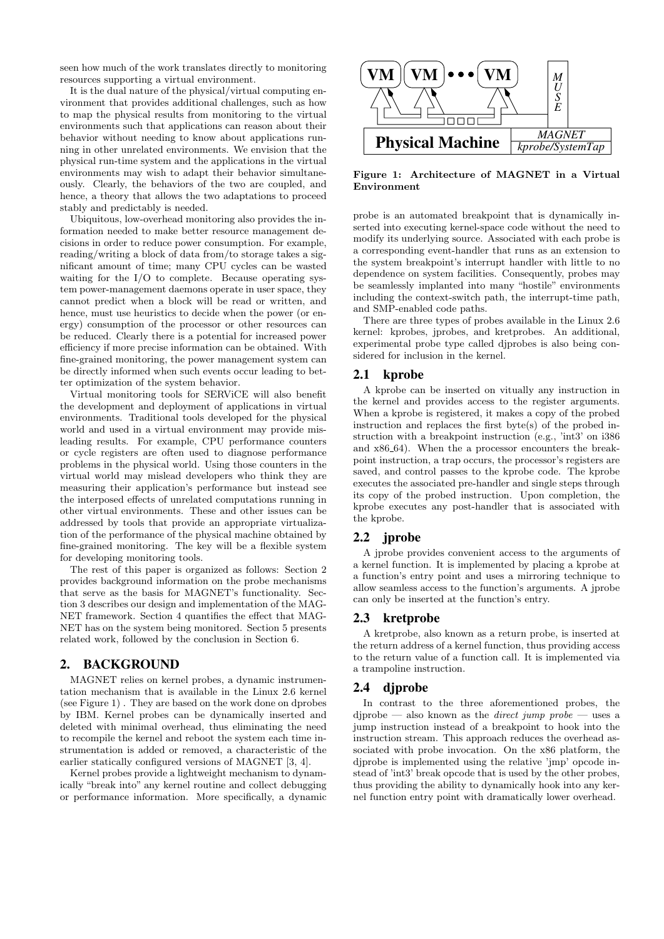seen how much of the work translates directly to monitoring resources supporting a virtual environment.

It is the dual nature of the physical/virtual computing environment that provides additional challenges, such as how to map the physical results from monitoring to the virtual environments such that applications can reason about their behavior without needing to know about applications running in other unrelated environments. We envision that the physical run-time system and the applications in the virtual environments may wish to adapt their behavior simultaneously. Clearly, the behaviors of the two are coupled, and hence, a theory that allows the two adaptations to proceed stably and predictably is needed.

Ubiquitous, low-overhead monitoring also provides the information needed to make better resource management decisions in order to reduce power consumption. For example, reading/writing a block of data from/to storage takes a significant amount of time; many CPU cycles can be wasted waiting for the I/O to complete. Because operating system power-management daemons operate in user space, they cannot predict when a block will be read or written, and hence, must use heuristics to decide when the power (or energy) consumption of the processor or other resources can be reduced. Clearly there is a potential for increased power efficiency if more precise information can be obtained. With fine-grained monitoring, the power management system can be directly informed when such events occur leading to better optimization of the system behavior.

Virtual monitoring tools for SERViCE will also benefit the development and deployment of applications in virtual environments. Traditional tools developed for the physical world and used in a virtual environment may provide misleading results. For example, CPU performance counters or cycle registers are often used to diagnose performance problems in the physical world. Using those counters in the virtual world may mislead developers who think they are measuring their application's performance but instead see the interposed effects of unrelated computations running in other virtual environments. These and other issues can be addressed by tools that provide an appropriate virtualization of the performance of the physical machine obtained by fine-grained monitoring. The key will be a flexible system for developing monitoring tools.

The rest of this paper is organized as follows: Section 2 provides background information on the probe mechanisms that serve as the basis for MAGNET's functionality. Section 3 describes our design and implementation of the MAG-NET framework. Section 4 quantifies the effect that MAG-NET has on the system being monitored. Section 5 presents related work, followed by the conclusion in Section 6.

# 2. BACKGROUND

MAGNET relies on kernel probes, a dynamic instrumentation mechanism that is available in the Linux 2.6 kernel (see Figure 1) . They are based on the work done on dprobes by IBM. Kernel probes can be dynamically inserted and deleted with minimal overhead, thus eliminating the need to recompile the kernel and reboot the system each time instrumentation is added or removed, a characteristic of the earlier statically configured versions of MAGNET [3, 4].

Kernel probes provide a lightweight mechanism to dynamically "break into" any kernel routine and collect debugging or performance information. More specifically, a dynamic



Figure 1: Architecture of MAGNET in a Virtual Environment

probe is an automated breakpoint that is dynamically inserted into executing kernel-space code without the need to modify its underlying source. Associated with each probe is a corresponding event-handler that runs as an extension to the system breakpoint's interrupt handler with little to no dependence on system facilities. Consequently, probes may be seamlessly implanted into many "hostile" environments including the context-switch path, the interrupt-time path, and SMP-enabled code paths.

There are three types of probes available in the Linux 2.6 kernel: kprobes, jprobes, and kretprobes. An additional, experimental probe type called djprobes is also being considered for inclusion in the kernel.

# 2.1 kprobe

A kprobe can be inserted on vitually any instruction in the kernel and provides access to the register arguments. When a kprobe is registered, it makes a copy of the probed instruction and replaces the first byte(s) of the probed instruction with a breakpoint instruction (e.g., 'int3' on i386 and x86 64). When the a processor encounters the breakpoint instruction, a trap occurs, the processor's registers are saved, and control passes to the kprobe code. The kprobe executes the associated pre-handler and single steps through its copy of the probed instruction. Upon completion, the kprobe executes any post-handler that is associated with the kprobe.

# 2.2 jprobe

A jprobe provides convenient access to the arguments of a kernel function. It is implemented by placing a kprobe at a function's entry point and uses a mirroring technique to allow seamless access to the function's arguments. A jprobe can only be inserted at the function's entry.

# 2.3 kretprobe

A kretprobe, also known as a return probe, is inserted at the return address of a kernel function, thus providing access to the return value of a function call. It is implemented via a trampoline instruction.

# 2.4 djprobe

In contrast to the three aforementioned probes, the  $diprobe$  — also known as the *direct jump probe* — uses a jump instruction instead of a breakpoint to hook into the instruction stream. This approach reduces the overhead associated with probe invocation. On the x86 platform, the djprobe is implemented using the relative 'jmp' opcode instead of 'int3' break opcode that is used by the other probes, thus providing the ability to dynamically hook into any kernel function entry point with dramatically lower overhead.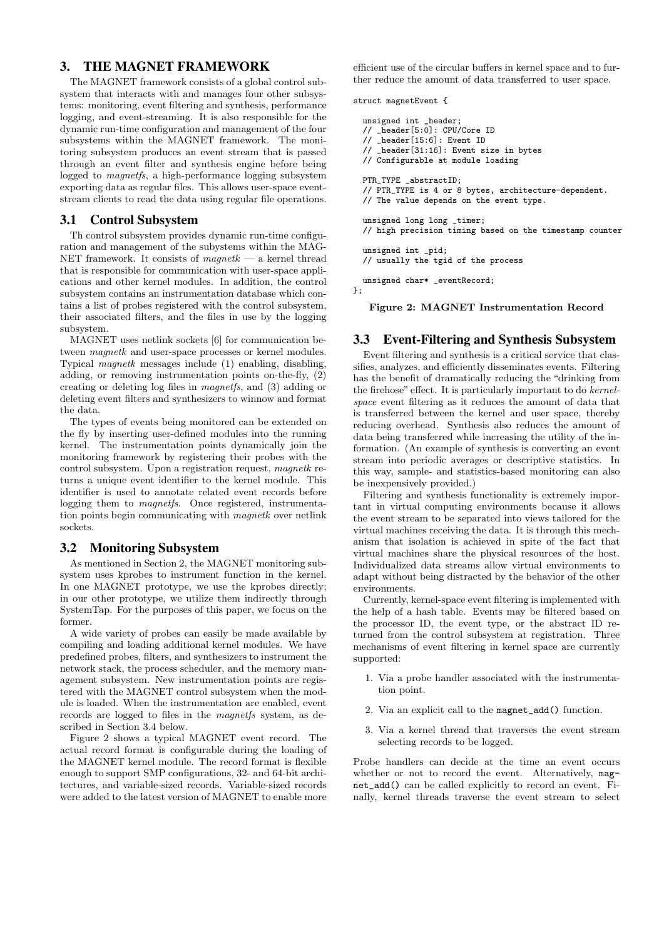# 3. THE MAGNET FRAMEWORK

The MAGNET framework consists of a global control subsystem that interacts with and manages four other subsystems: monitoring, event filtering and synthesis, performance logging, and event-streaming. It is also responsible for the dynamic run-time configuration and management of the four subsystems within the MAGNET framework. The monitoring subsystem produces an event stream that is passed through an event filter and synthesis engine before being logged to magnetfs, a high-performance logging subsystem exporting data as regular files. This allows user-space eventstream clients to read the data using regular file operations.

#### 3.1 Control Subsystem

Th control subsystem provides dynamic run-time configuration and management of the subystems within the MAG-NET framework. It consists of  $magnetk$  — a kernel thread that is responsible for communication with user-space applications and other kernel modules. In addition, the control subsystem contains an instrumentation database which contains a list of probes registered with the control subsystem, their associated filters, and the files in use by the logging subsystem.

MAGNET uses netlink sockets [6] for communication between magnetk and user-space processes or kernel modules. Typical magnetk messages include (1) enabling, disabling, adding, or removing instrumentation points on-the-fly, (2) creating or deleting log files in magnetfs, and (3) adding or deleting event filters and synthesizers to winnow and format the data.

The types of events being monitored can be extended on the fly by inserting user-defined modules into the running kernel. The instrumentation points dynamically join the monitoring framework by registering their probes with the control subsystem. Upon a registration request, magnetk returns a unique event identifier to the kernel module. This identifier is used to annotate related event records before logging them to *magnetfs*. Once registered, instrumentation points begin communicating with magnetk over netlink sockets.

#### 3.2 Monitoring Subsystem

As mentioned in Section 2, the MAGNET monitoring subsystem uses kprobes to instrument function in the kernel. In one MAGNET prototype, we use the kprobes directly; in our other prototype, we utilize them indirectly through SystemTap. For the purposes of this paper, we focus on the former.

A wide variety of probes can easily be made available by compiling and loading additional kernel modules. We have predefined probes, filters, and synthesizers to instrument the network stack, the process scheduler, and the memory management subsystem. New instrumentation points are registered with the MAGNET control subsystem when the module is loaded. When the instrumentation are enabled, event records are logged to files in the magnetfs system, as described in Section 3.4 below.

Figure 2 shows a typical MAGNET event record. The actual record format is configurable during the loading of the MAGNET kernel module. The record format is flexible enough to support SMP configurations, 32- and 64-bit architectures, and variable-sized records. Variable-sized records were added to the latest version of MAGNET to enable more

efficient use of the circular buffers in kernel space and to further reduce the amount of data transferred to user space.

struct magnetEvent {

```
unsigned int _header;
// _header[5:0]: CPU/Core ID
// _header[15:6]: Event ID
// _header[31:16]: Event size in bytes
// Configurable at module loading
PTR_TYPE _abstractID;
// PTR_TYPE is 4 or 8 bytes, architecture-dependent.
// The value depends on the event type.
unsigned long long _timer;
// high precision timing based on the timestamp counter
unsigned int _pid;
// usually the tgid of the process
unsigned char* _eventRecord;
```
};

Figure 2: MAGNET Instrumentation Record

### 3.3 Event-Filtering and Synthesis Subsystem

Event filtering and synthesis is a critical service that classifies, analyzes, and efficiently disseminates events. Filtering has the benefit of dramatically reducing the "drinking from the firehose" effect. It is particularly important to do kernelspace event filtering as it reduces the amount of data that is transferred between the kernel and user space, thereby reducing overhead. Synthesis also reduces the amount of data being transferred while increasing the utility of the information. (An example of synthesis is converting an event stream into periodic averages or descriptive statistics. In this way, sample- and statistics-based monitoring can also be inexpensively provided.)

Filtering and synthesis functionality is extremely important in virtual computing environments because it allows the event stream to be separated into views tailored for the virtual machines receiving the data. It is through this mechanism that isolation is achieved in spite of the fact that virtual machines share the physical resources of the host. Individualized data streams allow virtual environments to adapt without being distracted by the behavior of the other environments.

Currently, kernel-space event filtering is implemented with the help of a hash table. Events may be filtered based on the processor ID, the event type, or the abstract ID returned from the control subsystem at registration. Three mechanisms of event filtering in kernel space are currently supported:

- 1. Via a probe handler associated with the instrumentation point.
- 2. Via an explicit call to the magnet\_add() function.
- 3. Via a kernel thread that traverses the event stream selecting records to be logged.

Probe handlers can decide at the time an event occurs whether or not to record the event. Alternatively, magnet\_add() can be called explicitly to record an event. Finally, kernel threads traverse the event stream to select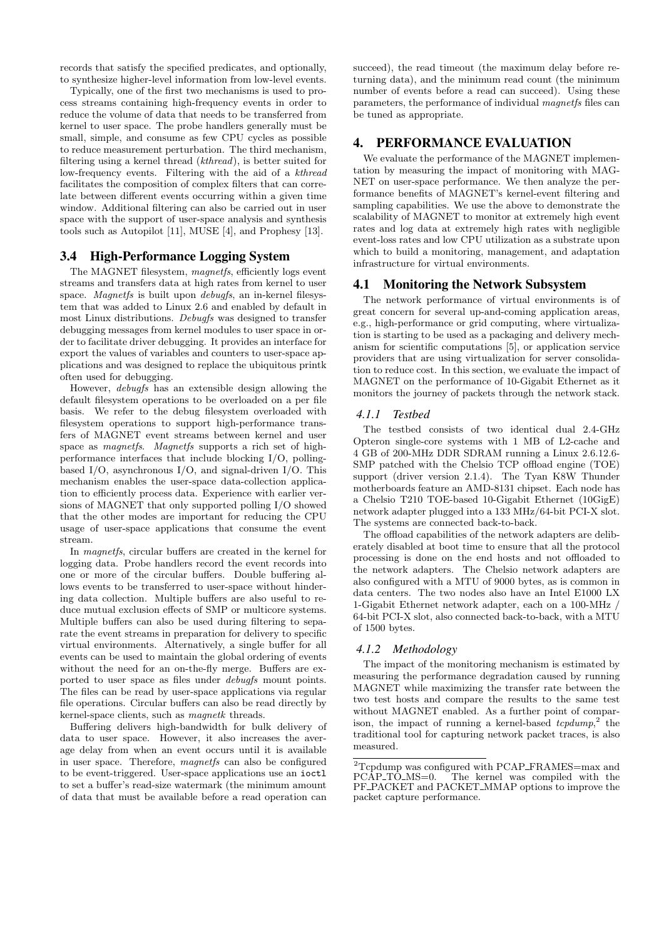records that satisfy the specified predicates, and optionally, to synthesize higher-level information from low-level events.

Typically, one of the first two mechanisms is used to process streams containing high-frequency events in order to reduce the volume of data that needs to be transferred from kernel to user space. The probe handlers generally must be small, simple, and consume as few CPU cycles as possible to reduce measurement perturbation. The third mechanism, filtering using a kernel thread (kthread), is better suited for low-frequency events. Filtering with the aid of a kthread facilitates the composition of complex filters that can correlate between different events occurring within a given time window. Additional filtering can also be carried out in user space with the support of user-space analysis and synthesis tools such as Autopilot [11], MUSE [4], and Prophesy [13].

# 3.4 High-Performance Logging System

The MAGNET filesystem, magnetfs, efficiently logs event streams and transfers data at high rates from kernel to user space. Magnetfs is built upon debugfs, an in-kernel filesystem that was added to Linux 2.6 and enabled by default in most Linux distributions. Debugfs was designed to transfer debugging messages from kernel modules to user space in order to facilitate driver debugging. It provides an interface for export the values of variables and counters to user-space applications and was designed to replace the ubiquitous printk often used for debugging.

However, debugfs has an extensible design allowing the default filesystem operations to be overloaded on a per file basis. We refer to the debug filesystem overloaded with filesystem operations to support high-performance transfers of MAGNET event streams between kernel and user space as magnetfs. Magnetfs supports a rich set of highperformance interfaces that include blocking I/O, pollingbased I/O, asynchronous I/O, and signal-driven I/O. This mechanism enables the user-space data-collection application to efficiently process data. Experience with earlier versions of MAGNET that only supported polling I/O showed that the other modes are important for reducing the CPU usage of user-space applications that consume the event stream.

In magnetfs, circular buffers are created in the kernel for logging data. Probe handlers record the event records into one or more of the circular buffers. Double buffering allows events to be transferred to user-space without hindering data collection. Multiple buffers are also useful to reduce mutual exclusion effects of SMP or multicore systems. Multiple buffers can also be used during filtering to separate the event streams in preparation for delivery to specific virtual environments. Alternatively, a single buffer for all events can be used to maintain the global ordering of events without the need for an on-the-fly merge. Buffers are exported to user space as files under debugfs mount points. The files can be read by user-space applications via regular file operations. Circular buffers can also be read directly by kernel-space clients, such as magnetk threads.

Buffering delivers high-bandwidth for bulk delivery of data to user space. However, it also increases the average delay from when an event occurs until it is available in user space. Therefore, magnetfs can also be configured to be event-triggered. User-space applications use an ioctl to set a buffer's read-size watermark (the minimum amount of data that must be available before a read operation can

succeed), the read timeout (the maximum delay before returning data), and the minimum read count (the minimum number of events before a read can succeed). Using these parameters, the performance of individual magnetfs files can be tuned as appropriate.

## 4. PERFORMANCE EVALUATION

We evaluate the performance of the MAGNET implementation by measuring the impact of monitoring with MAG-NET on user-space performance. We then analyze the performance benefits of MAGNET's kernel-event filtering and sampling capabilities. We use the above to demonstrate the scalability of MAGNET to monitor at extremely high event rates and log data at extremely high rates with negligible event-loss rates and low CPU utilization as a substrate upon which to build a monitoring, management, and adaptation infrastructure for virtual environments.

### 4.1 Monitoring the Network Subsystem

The network performance of virtual environments is of great concern for several up-and-coming application areas, e.g., high-performance or grid computing, where virtualization is starting to be used as a packaging and delivery mechanism for scientific computations [5], or application service providers that are using virtualization for server consolidation to reduce cost. In this section, we evaluate the impact of MAGNET on the performance of 10-Gigabit Ethernet as it monitors the journey of packets through the network stack.

#### *4.1.1 Testbed*

The testbed consists of two identical dual 2.4-GHz Opteron single-core systems with 1 MB of L2-cache and 4 GB of 200-MHz DDR SDRAM running a Linux 2.6.12.6- SMP patched with the Chelsio TCP offload engine (TOE) support (driver version 2.1.4). The Tyan K8W Thunder motherboards feature an AMD-8131 chipset. Each node has a Chelsio T210 TOE-based 10-Gigabit Ethernet (10GigE) network adapter plugged into a 133 MHz/64-bit PCI-X slot. The systems are connected back-to-back.

The offload capabilities of the network adapters are deliberately disabled at boot time to ensure that all the protocol processing is done on the end hosts and not offloaded to the network adapters. The Chelsio network adapters are also configured with a MTU of 9000 bytes, as is common in data centers. The two nodes also have an Intel E1000 LX 1-Gigabit Ethernet network adapter, each on a 100-MHz / 64-bit PCI-X slot, also connected back-to-back, with a MTU of 1500 bytes.

#### *4.1.2 Methodology*

The impact of the monitoring mechanism is estimated by measuring the performance degradation caused by running MAGNET while maximizing the transfer rate between the two test hosts and compare the results to the same test without MAGNET enabled. As a further point of comparison, the impact of running a kernel-based  $tcpdump$ <sup>2</sup>, the traditional tool for capturing network packet traces, is also measured.

 $\frac{1}{2}$ Tcpdump was configured with PCAP\_FRAMES=max and PCAP\_TO\_MS=0. The kernel was compiled with the The kernel was compiled with the PF\_PACKET and PACKET\_MMAP options to improve the packet capture performance.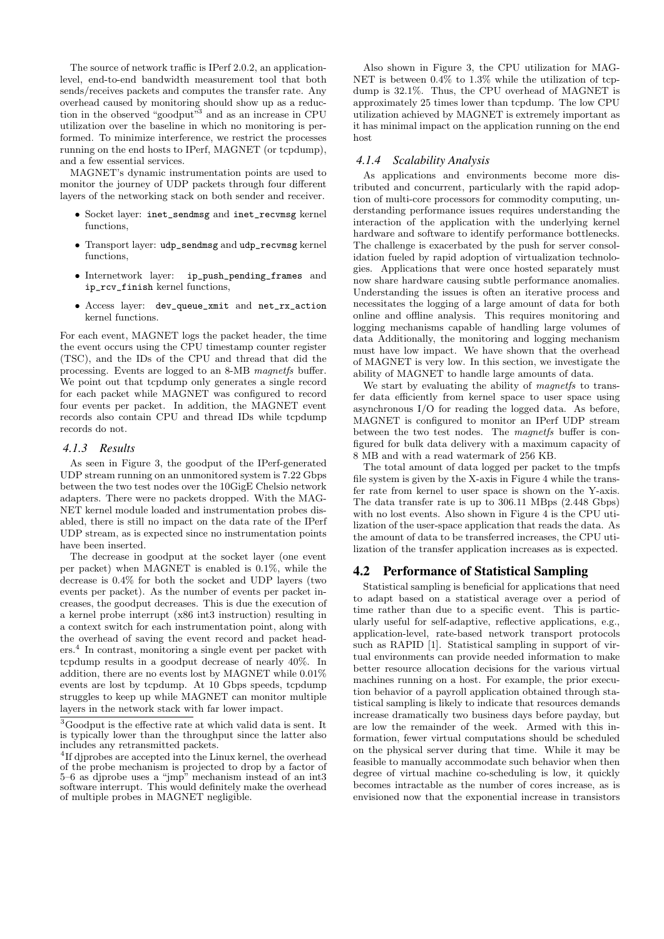The source of network traffic is IPerf 2.0.2, an applicationlevel, end-to-end bandwidth measurement tool that both sends/receives packets and computes the transfer rate. Any overhead caused by monitoring should show up as a reduction in the observed "goodput"<sup>3</sup> and as an increase in CPU utilization over the baseline in which no monitoring is performed. To minimize interference, we restrict the processes running on the end hosts to IPerf, MAGNET (or tcpdump), and a few essential services.

MAGNET's dynamic instrumentation points are used to monitor the journey of UDP packets through four different layers of the networking stack on both sender and receiver.

- Socket layer: inet\_sendmsg and inet\_recvmsg kernel functions,
- Transport layer: udp\_sendmsg and udp\_recvmsg kernel functions,
- Internetwork layer: ip\_push\_pending\_frames and ip\_rcv\_finish kernel functions,
- Access layer: dev\_queue\_xmit and net\_rx\_action kernel functions.

For each event, MAGNET logs the packet header, the time the event occurs using the CPU timestamp counter register (TSC), and the IDs of the CPU and thread that did the processing. Events are logged to an 8-MB magnetfs buffer. We point out that tcpdump only generates a single record for each packet while MAGNET was configured to record four events per packet. In addition, the MAGNET event records also contain CPU and thread IDs while tcpdump records do not.

#### *4.1.3 Results*

As seen in Figure 3, the goodput of the IPerf-generated UDP stream running on an unmonitored system is 7.22 Gbps between the two test nodes over the 10GigE Chelsio network adapters. There were no packets dropped. With the MAG-NET kernel module loaded and instrumentation probes disabled, there is still no impact on the data rate of the IPerf UDP stream, as is expected since no instrumentation points have been inserted.

The decrease in goodput at the socket layer (one event per packet) when MAGNET is enabled is 0.1%, while the decrease is 0.4% for both the socket and UDP layers (two events per packet). As the number of events per packet increases, the goodput decreases. This is due the execution of a kernel probe interrupt (x86 int3 instruction) resulting in a context switch for each instrumentation point, along with the overhead of saving the event record and packet headers. In contrast, monitoring a single event per packet with tcpdump results in a goodput decrease of nearly 40%. In addition, there are no events lost by MAGNET while 0.01% events are lost by tcpdump. At 10 Gbps speeds, tcpdump struggles to keep up while MAGNET can monitor multiple layers in the network stack with far lower impact.

Also shown in Figure 3, the CPU utilization for MAG-NET is between 0.4% to 1.3% while the utilization of tcpdump is 32.1%. Thus, the CPU overhead of MAGNET is approximately 25 times lower than tcpdump. The low CPU utilization achieved by MAGNET is extremely important as it has minimal impact on the application running on the end host

#### *4.1.4 Scalability Analysis*

As applications and environments become more distributed and concurrent, particularly with the rapid adoption of multi-core processors for commodity computing, understanding performance issues requires understanding the interaction of the application with the underlying kernel hardware and software to identify performance bottlenecks. The challenge is exacerbated by the push for server consolidation fueled by rapid adoption of virtualization technologies. Applications that were once hosted separately must now share hardware causing subtle performance anomalies. Understanding the issues is often an iterative process and necessitates the logging of a large amount of data for both online and offline analysis. This requires monitoring and logging mechanisms capable of handling large volumes of data Additionally, the monitoring and logging mechanism must have low impact. We have shown that the overhead of MAGNET is very low. In this section, we investigate the ability of MAGNET to handle large amounts of data.

We start by evaluating the ability of *magnetfs* to transfer data efficiently from kernel space to user space using asynchronous I/O for reading the logged data. As before, MAGNET is configured to monitor an IPerf UDP stream between the two test nodes. The magnetfs buffer is configured for bulk data delivery with a maximum capacity of 8 MB and with a read watermark of 256 KB.

The total amount of data logged per packet to the tmpfs file system is given by the X-axis in Figure 4 while the transfer rate from kernel to user space is shown on the Y-axis. The data transfer rate is up to 306.11 MBps (2.448 Gbps) with no lost events. Also shown in Figure 4 is the CPU utilization of the user-space application that reads the data. As the amount of data to be transferred increases, the CPU utilization of the transfer application increases as is expected.

# 4.2 Performance of Statistical Sampling

Statistical sampling is beneficial for applications that need to adapt based on a statistical average over a period of time rather than due to a specific event. This is particularly useful for self-adaptive, reflective applications, e.g., application-level, rate-based network transport protocols such as RAPID [1]. Statistical sampling in support of virtual environments can provide needed information to make better resource allocation decisions for the various virtual machines running on a host. For example, the prior execution behavior of a payroll application obtained through statistical sampling is likely to indicate that resources demands increase dramatically two business days before payday, but are low the remainder of the week. Armed with this information, fewer virtual computations should be scheduled on the physical server during that time. While it may be feasible to manually accommodate such behavior when then degree of virtual machine co-scheduling is low, it quickly becomes intractable as the number of cores increase, as is envisioned now that the exponential increase in transistors

 $\sqrt[3]{3}$ Goodput is the effective rate at which valid data is sent. It is typically lower than the throughput since the latter also includes any retransmitted packets.

<sup>4</sup> If djprobes are accepted into the Linux kernel, the overhead of the probe mechanism is projected to drop by a factor of 5–6 as djprobe uses a "jmp" mechanism instead of an int3 software interrupt. This would definitely make the overhead of multiple probes in MAGNET negligible.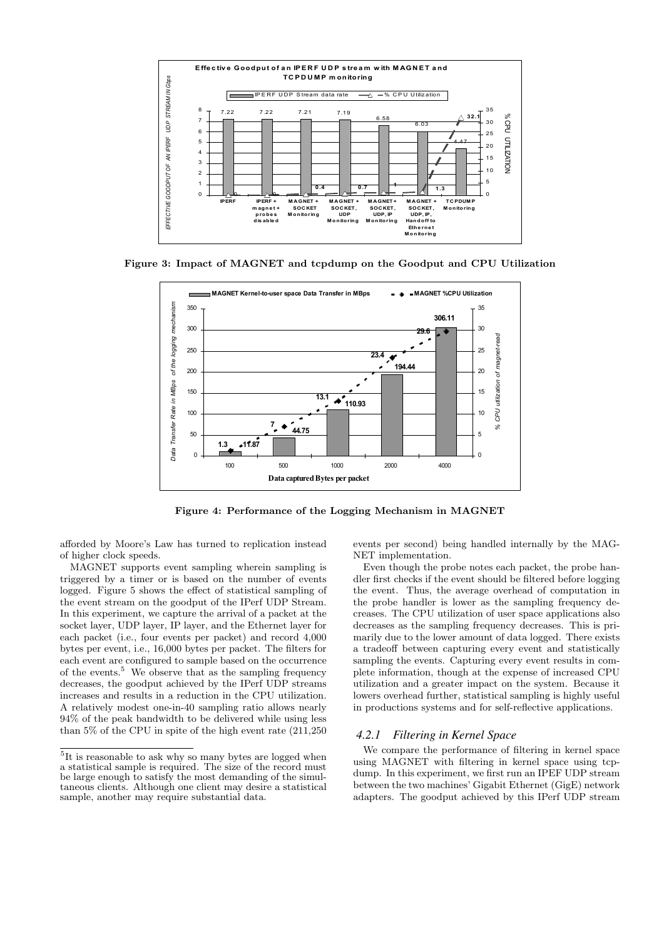

Figure 3: Impact of MAGNET and tcpdump on the Goodput and CPU Utilization



Figure 4: Performance of the Logging Mechanism in MAGNET **Figure 6: Performance Evaluation of the Logging Mechanism of MAGNET**

afforded by Moore's Law has turned to replication instead of higher clock speeds.

MAGNET supports event sampling wherein sampling is triggered by a timer or is based on the number of events logged. Figure 5 shows the effect of statistical sampling of the event stream on the goodput of the IPerf UDP Stream. In this experiment, we capture the arrival of a packet at the socket layer, UDP layer, IP layer, and the Ethernet layer for each packet (i.e., four events per packet) and record 4,000 bytes per event, i.e., 16,000 bytes per packet. The filters for each event are configured to sample based on the occurrence of the events.<sup>5</sup> We observe that as the sampling frequency decreases, the goodput achieved by the IPerf UDP streams increases and results in a reduction in the CPU utilization. A relatively modest one-in-40 sampling ratio allows nearly 94% of the peak bandwidth to be delivered while using less than 5% of the CPU in spite of the high event rate (211,250

events per second) being handled internally by the MAG-NET implementation.

Even though the probe notes each packet, the probe handler first checks if the event should be filtered before logging the event. Thus, the average overhead of computation in the probe handler is lower as the sampling frequency decreases. The CPU utilization of user space applications also decreases as the sampling frequency decreases. This is primarily due to the lower amount of data logged. There exists a tradeoff between capturing every event and statistically sampling the events. Capturing every event results in complete information, though at the expense of increased CPU utilization and a greater impact on the system. Because it lowers overhead further, statistical sampling is highly useful in productions systems and for self-reflective applications.

#### *4.2.1 Filtering in Kernel Space*

We compare the performance of filtering in kernel space using MAGNET with filtering in kernel space using tcpdump. In this experiment, we first run an IPEF UDP stream between the two machines' Gigabit Ethernet (GigE) network adapters. The goodput achieved by this IPerf UDP stream

<sup>&</sup>lt;sup>5</sup>It is reasonable to ask why so many bytes are logged when a statistical sample is required. The size of the record must be large enough to satisfy the most demanding of the simultaneous clients. Although one client may desire a statistical sample, another may require substantial data.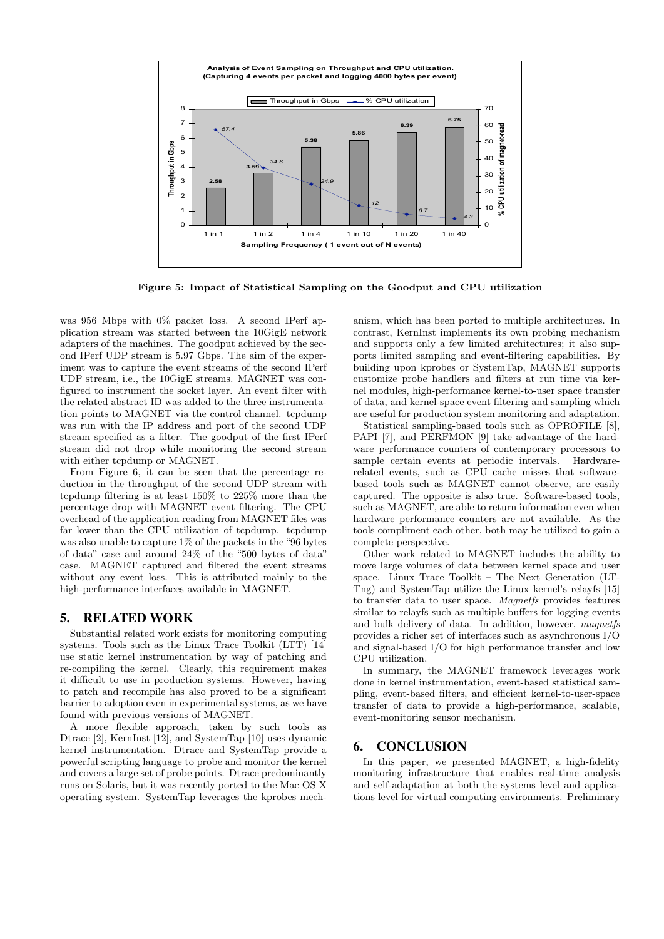

Figure 5: Impact of Statistical Sampling on the Goodput and CPU utilization

was 956 Mbps with 0% packet loss. A second IPerf application stream was started between the 10GigE network adapters of the machines. The goodput achieved by the second IPerf UDP stream is 5.97 Gbps. The aim of the experiment was to capture the event streams of the second IPerf UDP stream, i.e., the 10GigE streams. MAGNET was configured to instrument the socket layer. An event filter with the related abstract ID was added to the three instrumentation points to MAGNET via the control channel. tcpdump was run with the IP address and port of the second UDP stream specified as a filter. The goodput of the first IPerf stream did not drop while monitoring the second stream with either tcpdump or MAGNET.

From Figure 6, it can be seen that the percentage reduction in the throughput of the second UDP stream with tcpdump filtering is at least 150% to 225% more than the percentage drop with MAGNET event filtering. The CPU overhead of the application reading from MAGNET files was far lower than the CPU utilization of tcpdump. tcpdump was also unable to capture 1% of the packets in the "96 bytes of data" case and around 24% of the "500 bytes of data" case. MAGNET captured and filtered the event streams without any event loss. This is attributed mainly to the high-performance interfaces available in MAGNET.

# 5. RELATED WORK

Substantial related work exists for monitoring computing systems. Tools such as the Linux Trace Toolkit (LTT) [14] use static kernel instrumentation by way of patching and re-compiling the kernel. Clearly, this requirement makes it difficult to use in production systems. However, having to patch and recompile has also proved to be a significant barrier to adoption even in experimental systems, as we have found with previous versions of MAGNET.

A more flexible approach, taken by such tools as Dtrace [2], KernInst [12], and SystemTap [10] uses dynamic kernel instrumentation. Dtrace and SystemTap provide a powerful scripting language to probe and monitor the kernel and covers a large set of probe points. Dtrace predominantly runs on Solaris, but it was recently ported to the Mac OS X operating system. SystemTap leverages the kprobes mechanism, which has been ported to multiple architectures. In contrast, KernInst implements its own probing mechanism and supports only a few limited architectures; it also supports limited sampling and event-filtering capabilities. By building upon kprobes or SystemTap, MAGNET supports customize probe handlers and filters at run time via kernel modules, high-performance kernel-to-user space transfer of data, and kernel-space event filtering and sampling which are useful for production system monitoring and adaptation.

Statistical sampling-based tools such as OPROFILE [8], PAPI [7], and PERFMON [9] take advantage of the hardware performance counters of contemporary processors to sample certain events at periodic intervals. Hardwarerelated events, such as CPU cache misses that softwarebased tools such as MAGNET cannot observe, are easily captured. The opposite is also true. Software-based tools, such as MAGNET, are able to return information even when hardware performance counters are not available. As the tools compliment each other, both may be utilized to gain a complete perspective.

Other work related to MAGNET includes the ability to move large volumes of data between kernel space and user space. Linux Trace Toolkit – The Next Generation (LT-Tng) and SystemTap utilize the Linux kernel's relayfs [15] to transfer data to user space. Magnetfs provides features similar to relayfs such as multiple buffers for logging events and bulk delivery of data. In addition, however, magnetfs provides a richer set of interfaces such as asynchronous I/O and signal-based I/O for high performance transfer and low CPU utilization.

In summary, the MAGNET framework leverages work done in kernel instrumentation, event-based statistical sampling, event-based filters, and efficient kernel-to-user-space transfer of data to provide a high-performance, scalable, event-monitoring sensor mechanism.

#### 6. CONCLUSION

In this paper, we presented MAGNET, a high-fidelity monitoring infrastructure that enables real-time analysis and self-adaptation at both the systems level and applications level for virtual computing environments. Preliminary